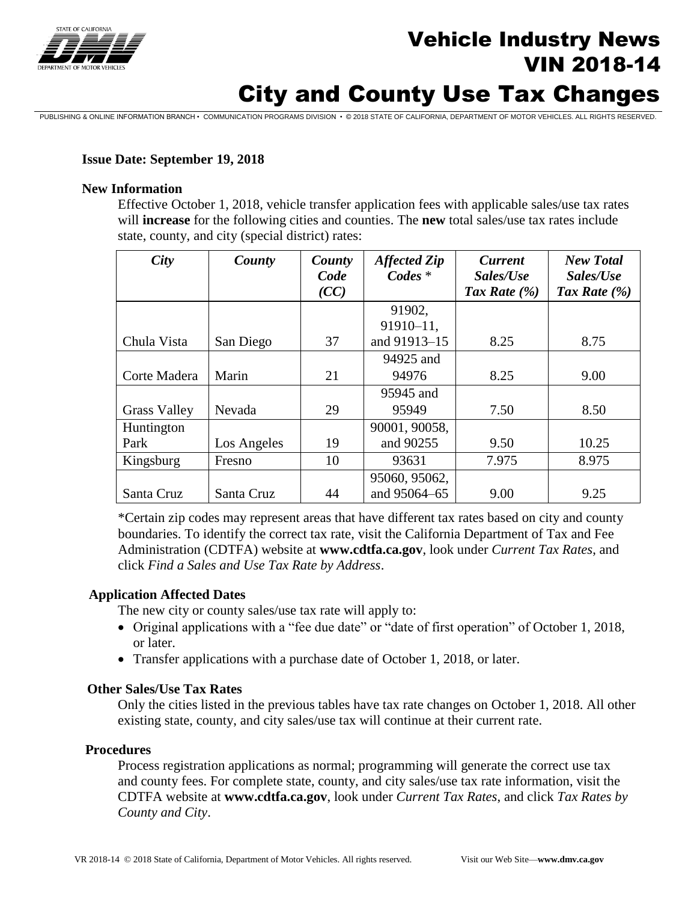

# **Vehicle Industry News**<br>
The *News* VIN 2018-14

# City and County Use Tax Changes

PUBLISHING & ONLINE INFORMATION BRANCH • COMMUNICATION PROGRAMS DIVISION • © 2018 STATE OF CALIFORNIA, DEPARTMENT OF MOTOR VEHICLES. ALL RIGHTS RESERVED.

### **Issue Date: September 19, 2018**

#### **New Information**

Effective October 1, 2018, vehicle transfer application fees with applicable sales/use tax rates will **increase** for the following cities and counties. The **new** total sales/use tax rates include state, county, and city (special district) rates:

| City                | County      | County<br>Code<br>(CC) | <b>Affected Zip</b><br>$\mathbf{C}$ odes $*$ | <b>Current</b><br>Sales/Use<br>Tax Rate $(\% )$ | <b>New Total</b><br>Sales/Use<br>Tax Rate $(\% )$ |
|---------------------|-------------|------------------------|----------------------------------------------|-------------------------------------------------|---------------------------------------------------|
|                     |             |                        | 91902,                                       |                                                 |                                                   |
|                     |             |                        | 91910-11,                                    |                                                 |                                                   |
| Chula Vista         | San Diego   | 37                     | and 91913-15                                 | 8.25                                            | 8.75                                              |
|                     |             |                        | 94925 and                                    |                                                 |                                                   |
| Corte Madera        | Marin       | 21                     | 94976                                        | 8.25                                            | 9.00                                              |
|                     |             |                        | 95945 and                                    |                                                 |                                                   |
| <b>Grass Valley</b> | Nevada      | 29                     | 95949                                        | 7.50                                            | 8.50                                              |
| Huntington          |             |                        | 90001, 90058,                                |                                                 |                                                   |
| Park                | Los Angeles | 19                     | and 90255                                    | 9.50                                            | 10.25                                             |
| Kingsburg           | Fresno      | 10                     | 93631                                        | 7.975                                           | 8.975                                             |
|                     |             |                        | 95060, 95062,                                |                                                 |                                                   |
| Santa Cruz          | Santa Cruz  | 44                     | and 95064-65                                 | 9.00                                            | 9.25                                              |

\*Certain zip codes may represent areas that have different tax rates based on city and county boundaries. To identify the correct tax rate, visit the California Department of Tax and Fee Administration (CDTFA) website at **www.cdtfa.ca.gov**, look under *Current Tax Rates*, and click *Find a Sales and Use Tax Rate by Address*.

#### **Application Affected Dates**

The new city or county sales/use tax rate will apply to:

- Original applications with a "fee due date" or "date of first operation" of October 1, 2018, or later.
- Transfer applications with a purchase date of October 1, 2018, or later.

#### **Other Sales/Use Tax Rates**

Only the cities listed in the previous tables have tax rate changes on October 1, 2018. All other existing state, county, and city sales/use tax will continue at their current rate.

#### **Procedures**

Process registration applications as normal; programming will generate the correct use tax and county fees. For complete state, county, and city sales/use tax rate information, visit the CDTFA website at **www.cdtfa.ca.gov**, look under *Current Tax Rates*, and click *Tax Rates by County and City*.